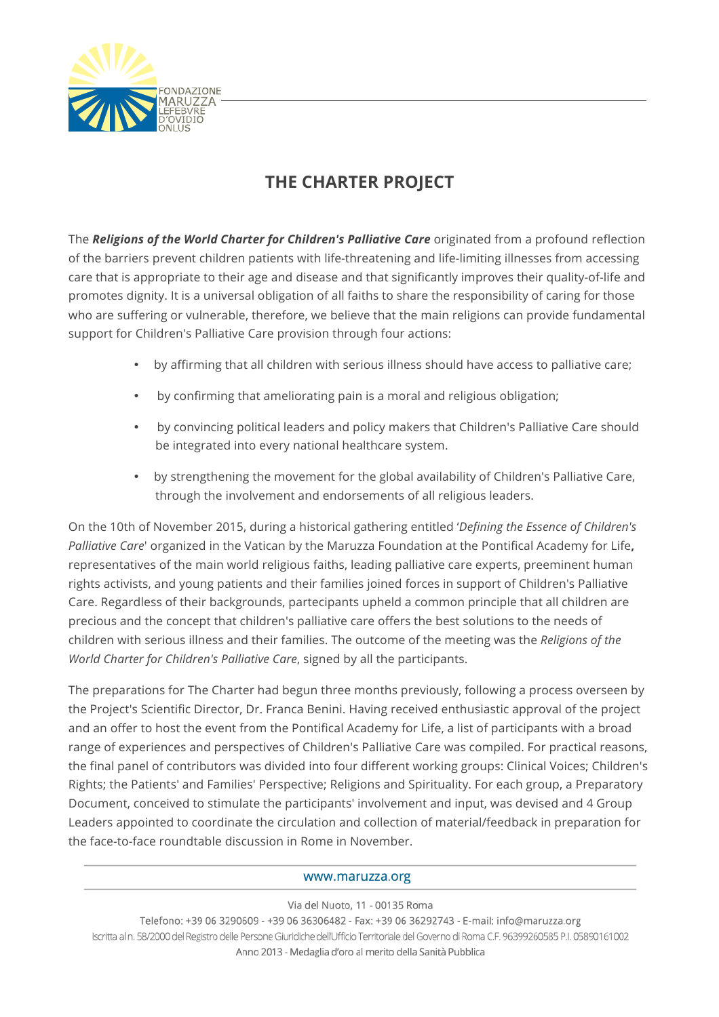

## **THE CHARTER PROJECT**

The *Religions of the World Charter for Children's Palliative Care* originated from a profound reflection of the barriers prevent children patients with life-threatening and life-limiting illnesses from accessing care that is appropriate to their age and disease and that significantly improves their quality-of-life and promotes dignity. It is a universal obligation of all faiths to share the responsibility of caring for those who are suffering or vulnerable, therefore, we believe that the main religions can provide fundamental support for Children's Palliative Care provision through four actions:

- by affirming that all children with serious illness should have access to palliative care;
- by confirming that ameliorating pain is a moral and religious obligation;
- by convincing political leaders and policy makers that Children's Palliative Care should be integrated into every national healthcare system.
- by strengthening the movement for the global availability of Children's Palliative Care, through the involvement and endorsements of all religious leaders.

On the 10th of November 2015, during a historical gathering entitled '*Defining the Essence of Children's Palliative Care*' organized in the Vatican by the Maruzza Foundation at the Pontifical Academy for Life**,** representatives of the main world religious faiths, leading palliative care experts, preeminent human rights activists, and young patients and their families joined forces in support of Children's Palliative Care. Regardless of their backgrounds, partecipants upheld a common principle that all children are precious and the concept that children's palliative care offers the best solutions to the needs of children with serious illness and their families. The outcome of the meeting was the *Religions of the World Charter for Children's Palliative Care*, signed by all the participants.

The preparations for The Charter had begun three months previously, following a process overseen by the Project's Scientific Director, Dr. Franca Benini. Having received enthusiastic approval of the project and an offer to host the event from the Pontifical Academy for Life, a list of participants with a broad range of experiences and perspectives of Children's Palliative Care was compiled. For practical reasons, the final panel of contributors was divided into four different working groups: Clinical Voices; Children's Rights; the Patients' and Families' Perspective; Religions and Spirituality. For each group, a Preparatory Document, conceived to stimulate the participants' involvement and input, was devised and 4 Group Leaders appointed to coordinate the circulation and collection of material/feedback in preparation for the face-to-face roundtable discussion in Rome in November.

## www.maruzza.org

## Via del Nuoto, 11 - 00135 Roma

Telefono: +39 06 3290609 - +39 06 36306482 - Fax: +39 06 36292743 - E-mail: info@maruzza.org Iscritta al n. 58/2000 del Registro delle Persone Giuridiche dell'Ufficio Territoriale del Governo di Roma C.F. 96399260585 P.I. 05890161002 Anno 2013 - Medaglia d'oro al merito della Sanità Pubblica